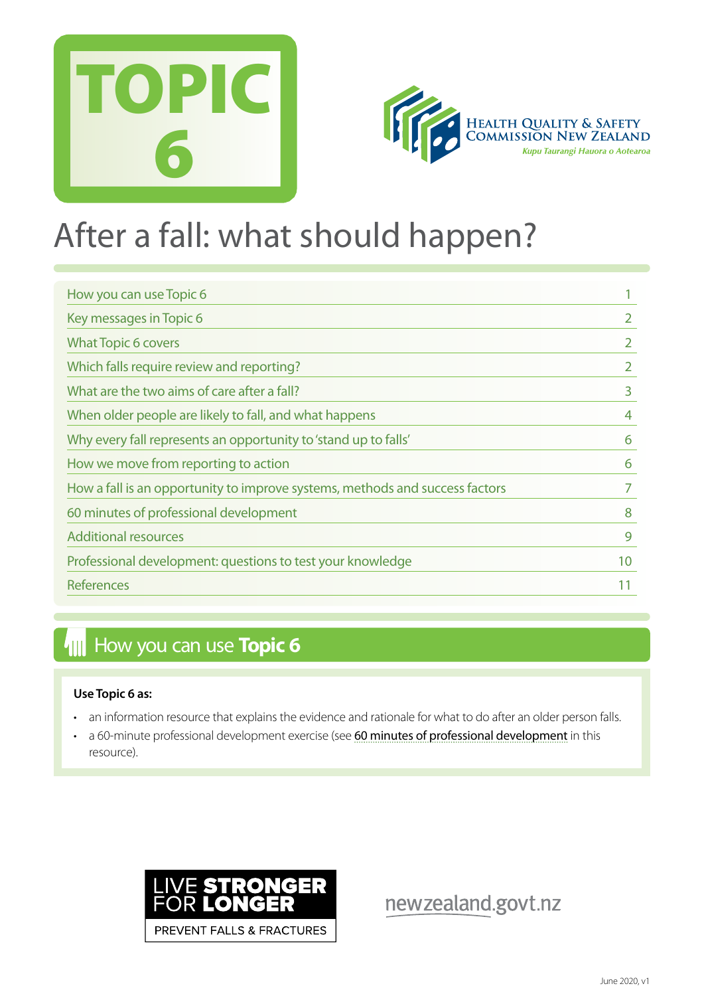



## After a fall: what should happen?

| How you can use Topic 6                                                      |    |
|------------------------------------------------------------------------------|----|
| Key messages in Topic 6                                                      |    |
| <b>What Topic 6 covers</b>                                                   |    |
| Which falls require review and reporting?                                    | 2  |
| What are the two aims of care after a fall?                                  | 3  |
| When older people are likely to fall, and what happens                       | 4  |
| Why every fall represents an opportunity to 'stand up to falls'              | 6  |
| How we move from reporting to action                                         | 6  |
| How a fall is an opportunity to improve systems, methods and success factors |    |
| 60 minutes of professional development                                       | 8  |
| <b>Additional resources</b>                                                  | 9  |
| Professional development: questions to test your knowledge                   | 10 |
| References                                                                   |    |

## **How you can use Topic 6**

#### **Use Topic 6 as:**

- an information resource that explains the evidence and rationale for what to do after an older person falls.
- a 60-minute professional development exercise (see [60 minutes of professional development](#page-7-0) in this resource).



newzealand.govt.nz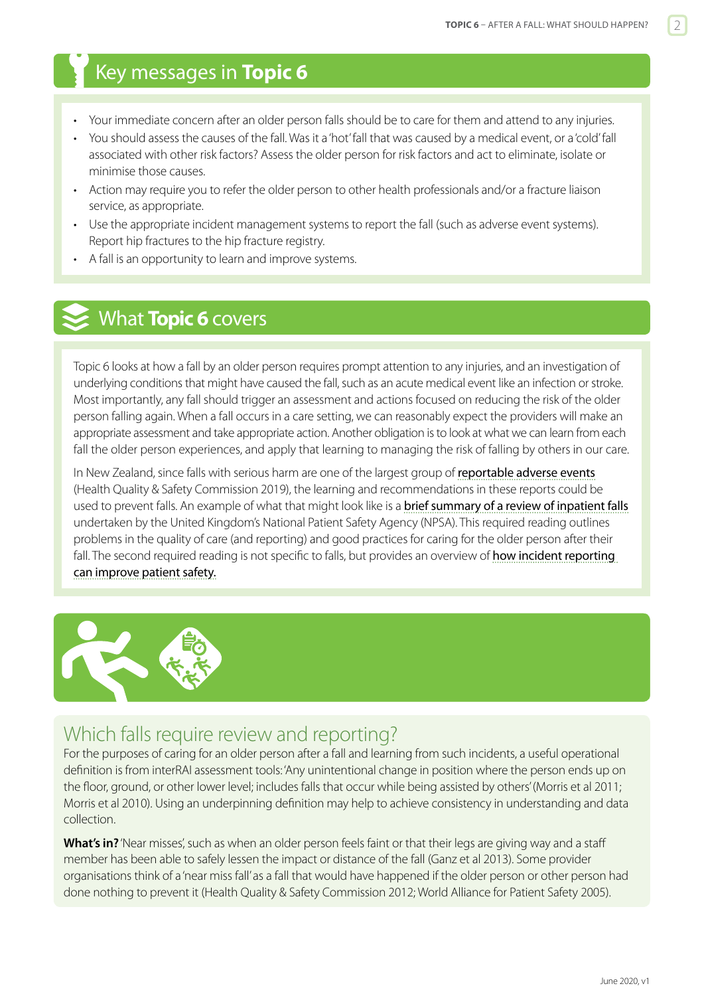## <span id="page-1-0"></span>Key messages in **Topic 6**

- Your immediate concern after an older person falls should be to care for them and attend to any injuries.
- You should assess the causes of the fall. Was it a 'hot' fall that was caused by a medical event, or a 'cold' fall associated with other risk factors? Assess the older person for risk factors and act to eliminate, isolate or minimise those causes.
- Action may require you to refer the older person to other health professionals and/or a fracture liaison service, as appropriate.
- Use the appropriate incident management systems to report the fall (such as adverse event systems). Report hip fractures to the hip fracture registry.
- A fall is an opportunity to learn and improve systems.

## What **Topic 6** covers

Topic 6 looks at how a fall by an older person requires prompt attention to any injuries, and an investigation of underlying conditions that might have caused the fall, such as an acute medical event like an infection or stroke. Most importantly, any fall should trigger an assessment and actions focused on reducing the risk of the older person falling again. When a fall occurs in a care setting, we can reasonably expect the providers will make an appropriate assessment and take appropriate action. Another obligation is to look at what we can learn from each fall the older person experiences, and apply that learning to managing the risk of falling by others in our care.

In New Zealand, since falls with serious harm are one of the largest group of [reportable adverse events](https://www.hqsc.govt.nz/our-programmes/adverse-events/publications-and-resources/publication/3889/) (Health Quality & Safety Commission 2019), the learning and recommendations in these reports could be used to prevent falls. An example of what that might look like is a **[brief summary of a review of inpatient falls](https://www.hqsc.govt.nz/assets/Falls/10-Topics/Essential-care-after-an-inpatient-fall.pdf)** undertaken by the United Kingdom's National Patient Safety Agency (NPSA). This required reading outlines problems in the quality of care (and reporting) and good practices for caring for the older person after their fall. The second required reading is not specific to falls, but provides an overview of **how incident reporting** [can improve patient safety.](http://bja.oxfordjournals.org/content/105/1/69.full)



## Which falls require review and reporting?

For the purposes of caring for an older person after a fall and learning from such incidents, a useful operational definition is from interRAI assessment tools: 'Any unintentional change in position where the person ends up on the floor, ground, or other lower level; includes falls that occur while being assisted by others' (Morris et al 2011; Morris et al 2010). Using an underpinning definition may help to achieve consistency in understanding and data collection.

**What's in?** 'Near misses', such as when an older person feels faint or that their legs are giving way and a staff member has been able to safely lessen the impact or distance of the fall (Ganz et al 2013). Some provider organisations think of a 'near miss fall' as a fall that would have happened if the older person or other person had done nothing to prevent it (Health Quality & Safety Commission 2012; World Alliance for Patient Safety 2005).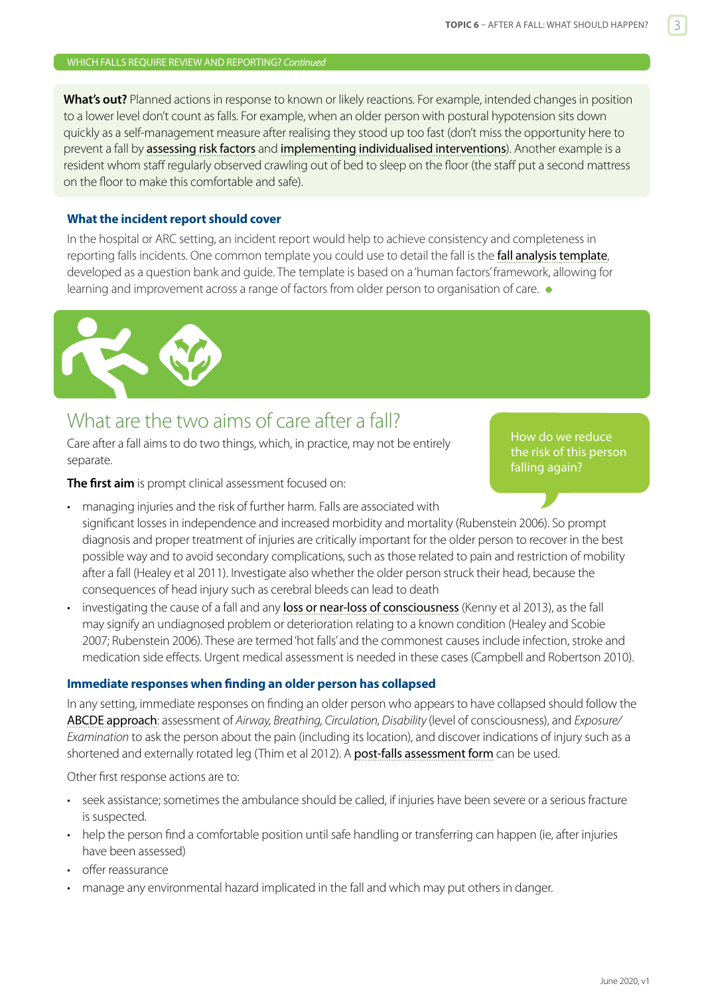#### <span id="page-2-0"></span>WHICH FALLS REQUIRE REVIEW AND REPORTING? *Continued*

**What's out?** Planned actions in response to known or likely reactions. For example, intended changes in position to a lower level don't count as falls. For example, when an older person with postural hypotension sits down quickly as a self-management measure after realising they stood up too fast (don't miss the opportunity here to prevent a fall by [assessing risk factors](https://www.hqsc.govt.nz/our-programmes/reducing-harm-from-falls/publications-and-resources/publication/2874) and [implementing individualised interventions](https://www.hqsc.govt.nz/our-programmes/reducing-harm-from-falls/publications-and-resources/publication/2891)). Another example is a resident whom staff regularly observed crawling out of bed to sleep on the floor (the staff put a second mattress on the floor to make this comfortable and safe).

#### **What the incident report should cover**

In the hospital or ARC setting, an incident report would help to achieve consistency and completeness in reporting falls incidents. One common template you could use to detail the fall is the **[fall analysis template](http://www.hqsc.govt.nz/assets/Falls/PR/Falls-analysis-template-based-on-human-factors-framework.pdf)**, developed as a question bank and guide. The template is based on a 'human factors' framework, allowing for learning and improvement across a range of factors from older person to organisation of care.  $\bullet$ 



## What are the two aims of care after a fall?

Care after a fall aims to do two things, which, in practice, may not be entirely separate.

How do we reduce the risk of this person falling again?

**The first aim** is prompt clinical assessment focused on:

- managing injuries and the risk of further harm. Falls are associated with significant losses in independence and increased morbidity and mortality (Rubenstein 2006). So prompt diagnosis and proper treatment of injuries are critically important for the older person to recover in the best possible way and to avoid secondary complications, such as those related to pain and restriction of mobility after a fall (Healey et al 2011). Investigate also whether the older person struck their head, because the consequences of head injury such as cerebral bleeds can lead to death
- investigating the cause of a fall and any loss or near-loss of [consciousness](http://www.patient.co.uk/doctor/glasgow-coma-scale-gcs) (Kenny et al 2013), as the fall may signify an undiagnosed problem or deterioration relating to a known condition (Healey and Scobie 2007; Rubenstein 2006). These are termed 'hot falls' and the commonest causes include infection, stroke and medication side effects. Urgent medical assessment is needed in these cases (Campbell and Robertson 2010).

#### **Immediate responses when finding an older person has collapsed**

In any setting, immediate responses on finding an older person who appears to have collapsed should follow the [ABCDE approach](https://www.hqsc.govt.nz/our-programmes/reducing-harm-from-falls/publications-and-resources/publication/2888): assessment of *Airway, Breathing, Circulation, Disability* (level of consciousness), and *Exposure/ Examination* to ask the person about the pain (including its location), and discover indications of injury such as a shortened and externally rotated leg (Thim et al 2012). A [post-falls assessment form](https://www.hqsc.govt.nz/assets/ARC/PR/Frailty_care_guides/Post-falls_assessment_form_FCG_final.docx) can be used.

Other first response actions are to:

- seek assistance; sometimes the ambulance should be called, if injuries have been severe or a serious fracture is suspected.
- help the person find a comfortable position until safe handling or transferring can happen (ie, after injuries have been assessed)
- offer reassurance
- manage any environmental hazard implicated in the fall and which may put others in danger.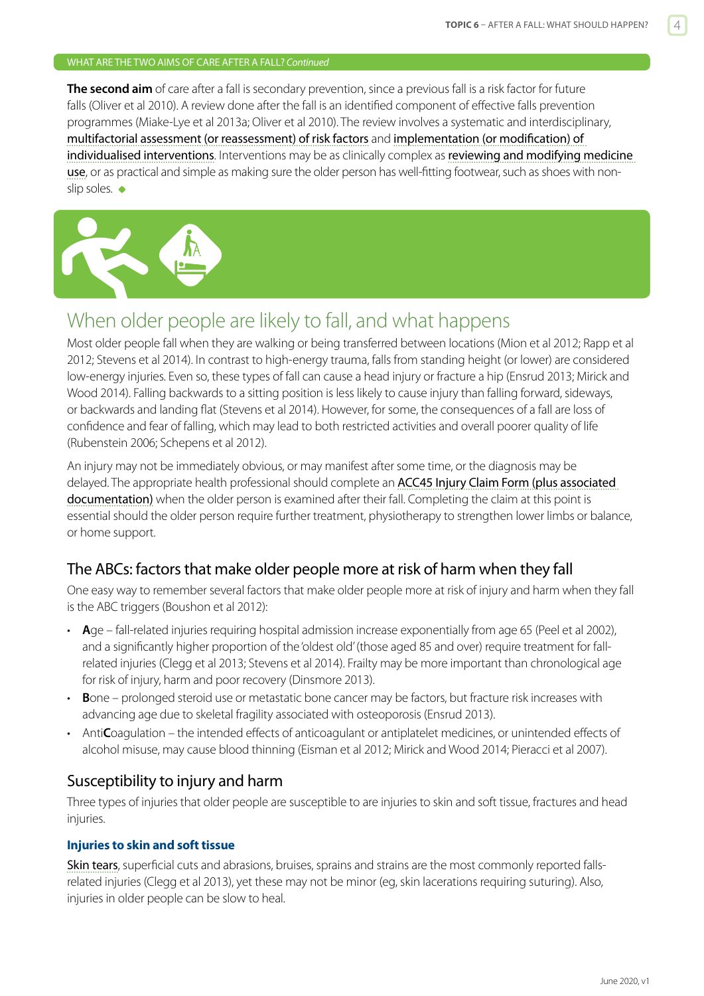#### <span id="page-3-0"></span>WHAT ARE THE TWO AIMS OF CARE AFTER A FALL? *Continued*

**The second aim** of care after a fall is secondary prevention, since a previous fall is a risk factor for future falls (Oliver et al 2010). A review done after the fall is an identified component of effective falls prevention programmes (Miake-Lye et al 2013a; Oliver et al 2010). The review involves a systematic and interdisciplinary, [multifactorial assessment \(or reassessment\) of risk factors](https://www.hqsc.govt.nz/our-programmes/reducing-harm-from-falls/publications-and-resources/publication/2874) and [implementation \(or modification\) of](https://www.hqsc.govt.nz/our-programmes/reducing-harm-from-falls/publications-and-resources/publication/2891)  [individualised interventions](https://www.hqsc.govt.nz/our-programmes/reducing-harm-from-falls/publications-and-resources/publication/2891). Interventions may be as clinically complex as reviewing and modifying medicine [use](https://www.hqsc.govt.nz/our-programmes/reducing-harm-from-falls/publications-and-resources/publication/2879), or as practical and simple as making sure the older person has well-fitting footwear, such as shoes with nonslip soles.  $\bullet$ 



## When older people are likely to fall, and what happens

Most older people fall when they are walking or being transferred between locations (Mion et al 2012; Rapp et al 2012; Stevens et al 2014). In contrast to high-energy trauma, falls from standing height (or lower) are considered low-energy injuries. Even so, these types of fall can cause a head injury or fracture a hip (Ensrud 2013; Mirick and Wood 2014). Falling backwards to a sitting position is less likely to cause injury than falling forward, sideways, or backwards and landing flat (Stevens et al 2014). However, for some, the consequences of a fall are loss of confidence and fear of falling, which may lead to both restricted activities and overall poorer quality of life (Rubenstein 2006; Schepens et al 2012).

An injury may not be immediately obvious, or may manifest after some time, or the diagnosis may be delayed. The appropriate health professional should complete an [ACC45 Injury Claim Form](http://www.acc.co.nz/for-providers/lodge-and-manage-claims/PRV00028) (plus associated documentation) when the older person is examined after their fall. Completing the claim at this point is essential should the older person require further treatment, physiotherapy to strengthen lower limbs or balance, or home support.

#### The ABCs: factors that make older people more at risk of harm when they fall

One easy way to remember several factors that make older people more at risk of injury and harm when they fall is the ABC triggers (Boushon et al 2012):

- **A**ge fall-related injuries requiring hospital admission increase exponentially from age 65 (Peel et al 2002), and a significantly higher proportion of the 'oldest old' (those aged 85 and over) require treatment for fallrelated injuries (Clegg et al 2013; Stevens et al 2014). Frailty may be more important than chronological age for risk of injury, harm and poor recovery (Dinsmore 2013).
- **B**one prolonged steroid use or metastatic bone cancer may be factors, but fracture risk increases with advancing age due to skeletal fragility associated with osteoporosis (Ensrud 2013).
- Anti**C**oagulation the intended effects of anticoagulant or antiplatelet medicines, or unintended effects of alcohol misuse, may cause blood thinning (Eisman et al 2012; Mirick and Wood 2014; Pieracci et al 2007).

#### Susceptibility to injury and harm

Three types of injuries that older people are susceptible to are injuries to skin and soft tissue, fractures and head injuries.

#### **Injuries to skin and soft tissue**

[Skin tears](https://www.hqsc.govt.nz/our-programmes/reducing-harm-from-falls/publications-and-resources/publication/2887), superficial cuts and abrasions, bruises, sprains and strains are the most commonly reported fallsrelated injuries (Clegg et al 2013), yet these may not be minor (eg, skin lacerations requiring suturing). Also, injuries in older people can be slow to heal.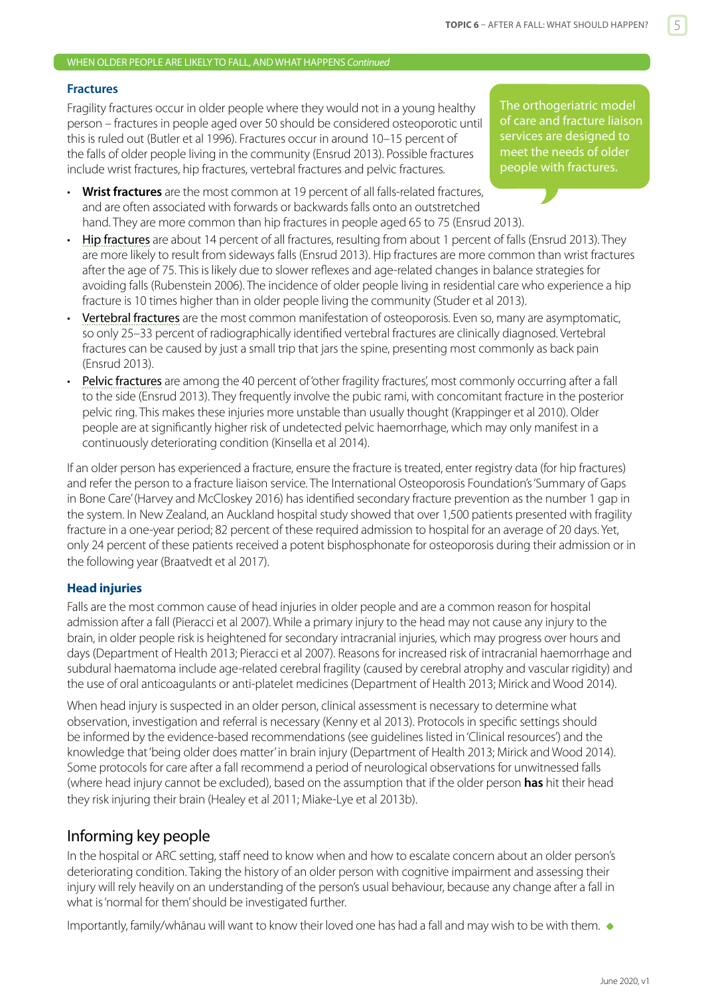#### WHEN OLDER PEOPLE ARE LIKELY TO FALL, AND WHAT HAPPENS *Continued*

#### **Fractures**

Fragility fractures occur in older people where they would not in a young healthy person – fractures in people aged over 50 should be considered osteoporotic until this is ruled out (Butler et al 1996). Fractures occur in around 10–15 percent of the falls of older people living in the community (Ensrud 2013). Possible fractures include wrist fractures, hip fractures, vertebral fractures and pelvic fractures.

- **Wrist fractures** are the most common at 19 percent of all falls-related fractures, and are often associated with forwards or backwards falls onto an outstretched hand. They are more common than hip fractures in people aged 65 to 75 (Ensrud 2013).
- [Hip fractures](https://www.hqsc.govt.nz/our-programmes/reducing-harm-from-falls/publications-and-resources/publication/2878) are about 14 percent of all fractures, resulting from about 1 percent of falls (Ensrud 2013). They are more likely to result from sideways falls (Ensrud 2013). Hip fractures are more common than wrist fractures after the age of 75. This is likely due to slower reflexes and age-related changes in balance strategies for avoiding falls (Rubenstein 2006). The incidence of older people living in residential care who experience a hip fracture is 10 times higher than in older people living the community (Studer et al 2013).
- [Vertebral fractures](http://www.spine-health.com/conditions/osteoporosis/vertebral-fracture-symptoms) are the most common manifestation of osteoporosis. Even so, many are asymptomatic, so only 25–33 percent of radiographically identified vertebral fractures are clinically diagnosed. Vertebral fractures can be caused by just a small trip that jars the spine, presenting most commonly as back pain (Ensrud 2013).
- [Pelvic fractures](https://www.ncbi.nlm.nih.gov/pubmed/20521061) are among the 40 percent of 'other fragility fractures', most commonly occurring after a fall to the side (Ensrud 2013). They frequently involve the pubic rami, with concomitant fracture in the posterior pelvic ring. This makes these injuries more unstable than usually thought (Krappinger et al 2010). Older people are at significantly higher risk of undetected pelvic haemorrhage, which may only manifest in a continuously deteriorating condition (Kinsella et al 2014).

If an older person has experienced a fracture, ensure the fracture is treated, enter registry data (for hip fractures) and refer the person to a fracture liaison service. The International Osteoporosis Foundation's 'Summary of Gaps in Bone Care' (Harvey and McCloskey 2016) has identified secondary fracture prevention as the number 1 gap in the system. In New Zealand, an Auckland hospital study showed that over 1,500 patients presented with fragility fracture in a one-year period; 82 percent of these required admission to hospital for an average of 20 days. Yet, only 24 percent of these patients received a potent bisphosphonate for osteoporosis during their admission or in the following year (Braatvedt et al 2017).

#### **Head injuries**

Falls are the most common cause of head injuries in older people and are a common reason for hospital admission after a fall (Pieracci et al 2007). While a primary injury to the head may not cause any injury to the brain, in older people risk is heightened for secondary intracranial injuries, which may progress over hours and days (Department of Health 2013; Pieracci et al 2007). Reasons for increased risk of intracranial haemorrhage and subdural haematoma include age-related cerebral fragility (caused by cerebral atrophy and vascular rigidity) and the use of oral anticoagulants or anti-platelet medicines (Department of Health 2013; Mirick and Wood 2014).

When head injury is suspected in an older person, clinical assessment is necessary to determine what observation, investigation and referral is necessary (Kenny et al 2013). Protocols in specific settings should be informed by the evidence-based recommendations (see guidelines listed in 'Clinical resources') and the knowledge that 'being older does matter' in brain injury (Department of Health 2013; Mirick and Wood 2014). Some protocols for care after a fall recommend a period of neurological observations for unwitnessed falls (where head injury cannot be excluded), based on the assumption that if the older person **has** hit their head they risk injuring their brain (Healey et al 2011; Miake-Lye et al 2013b).

#### Informing key people

In the hospital or ARC setting, staff need to know when and how to escalate concern about an older person's deteriorating condition. Taking the history of an older person with cognitive impairment and assessing their injury will rely heavily on an understanding of the person's usual behaviour, because any change after a fall in what is 'normal for them' should be investigated further.

Importantly, family/whānau will want to know their loved one has had a fall and may wish to be with them.  $\bullet$ 

The orthogeriatric model of care and fracture liaison services are designed to meet the needs of older people with fractures.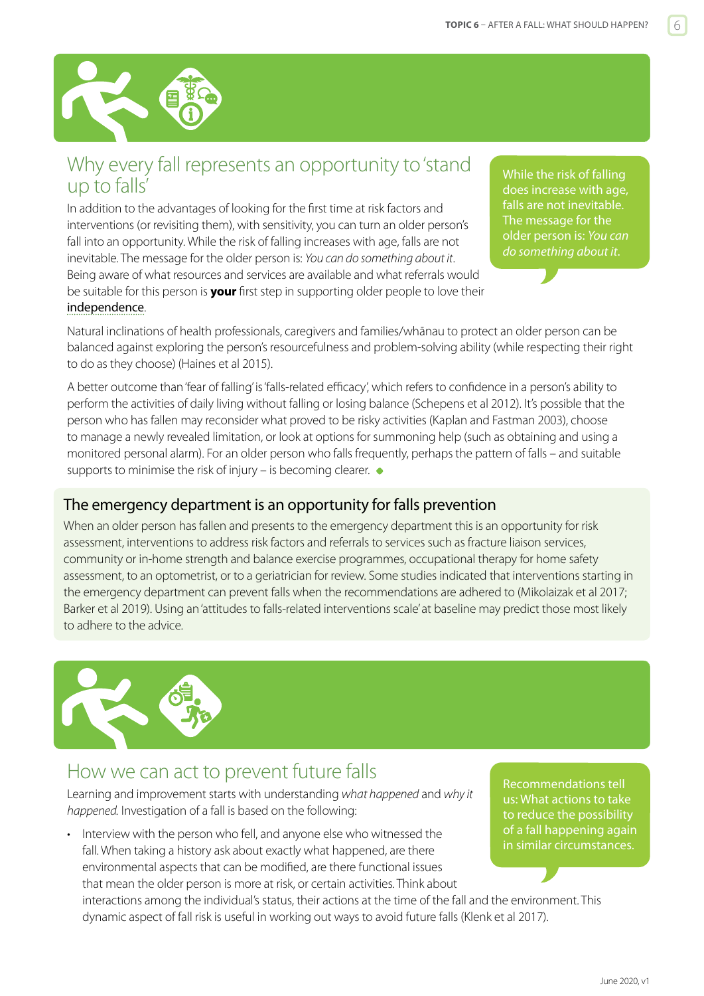<span id="page-5-0"></span>

## Why every fall represents an opportunity to 'stand up to falls'

In addition to the advantages of looking for the first time at risk factors and interventions (or revisiting them), with sensitivity, you can turn an older person's fall into an opportunity. While the risk of falling increases with age, falls are not inevitable. The message for the older person is: *You can do something about it*. Being aware of what resources and services are available and what referrals would be suitable for this person is **your** first step in supporting older people to love their [independence](https://www.acc.co.nz/assets/injury-prevention/acc7745-love-your-independence.pdf).

While the risk of falling does increase with age, falls are not inevitable. The message for the older person is: *You can do something about it*.

Natural inclinations of health professionals, caregivers and families/whānau to protect an older person can be balanced against exploring the person's resourcefulness and problem-solving ability (while respecting their right to do as they choose) (Haines et al 2015).

A better outcome than 'fear of falling' is 'falls-related efficacy', which refers to confidence in a person's ability to perform the activities of daily living without falling or losing balance (Schepens et al 2012). It's possible that the person who has fallen may reconsider what proved to be risky activities (Kaplan and Fastman 2003), choose to manage a newly revealed limitation, or look at options for summoning help (such as obtaining and using a monitored personal alarm). For an older person who falls frequently, perhaps the pattern of falls – and suitable supports to minimise the risk of injury – is becoming clearer.  $\bullet$ 

### The emergency department is an opportunity for falls prevention

When an older person has fallen and presents to the emergency department this is an opportunity for risk assessment, interventions to address risk factors and referrals to services such as fracture liaison services, community or in-home strength and balance exercise programmes, occupational therapy for home safety assessment, to an optometrist, or to a geriatrician for review. Some studies indicated that interventions starting in the emergency department can prevent falls when the recommendations are adhered to (Mikolaizak et al 2017; Barker et al 2019). Using an 'attitudes to falls-related interventions scale' at baseline may predict those most likely to adhere to the advice.



## How we can act to prevent future falls

Learning and improvement starts with understanding *what happened* and *why it happened.* Investigation of a fall is based on the following:

• Interview with the person who fell, and anyone else who witnessed the fall. When taking a history ask about exactly what happened, are there environmental aspects that can be modified, are there functional issues that mean the older person is more at risk, or certain activities. Think about

Recommendations tell us: What actions to take to reduce the possibility of a fall happening again in similar circumstances.

interactions among the individual's status, their actions at the time of the fall and the environment. This dynamic aspect of fall risk is useful in working out ways to avoid future falls (Klenk et al 2017).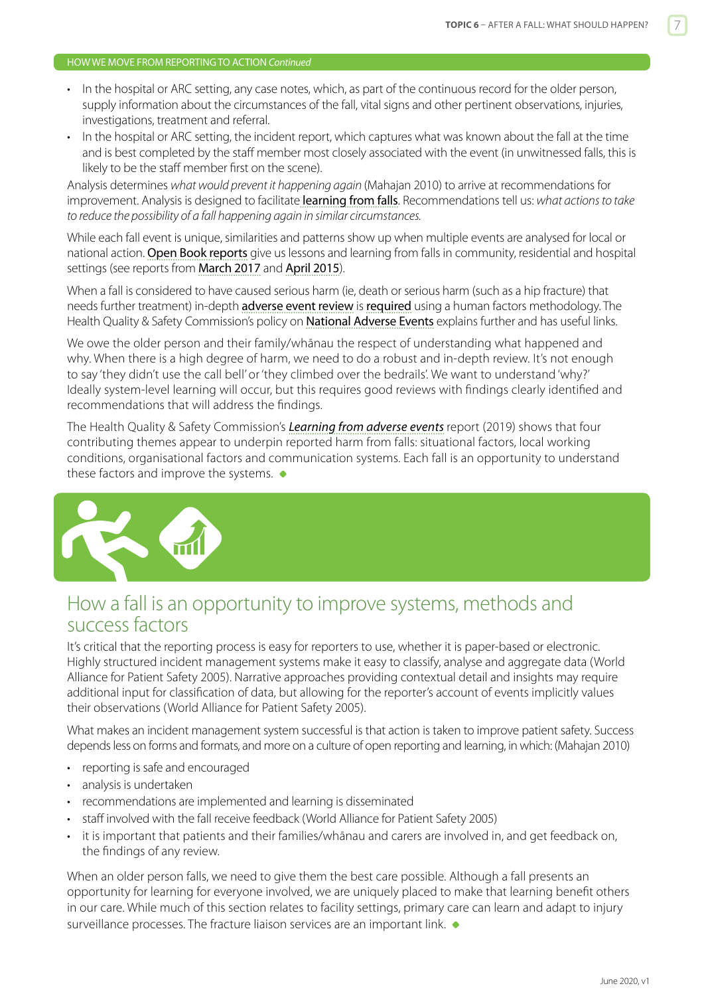#### <span id="page-6-0"></span>HOW WE MOVE FROM REPORTING TO ACTION *Continued*

- In the hospital or ARC setting, any case notes, which, as part of the continuous record for the older person, supply information about the circumstances of the fall, vital signs and other pertinent observations, injuries, investigations, treatment and referral.
- In the hospital or ARC setting, the incident report, which captures what was known about the fall at the time and is best completed by the staff member most closely associated with the event (in unwitnessed falls, this is likely to be the staff member first on the scene).

Analysis determines *what would prevent it happening again* (Mahajan 2010) to arrive at recommendations for improvement. Analysis is designed to facilitate [learning from falls](http://www.hqsc.govt.nz/our-programmes/reducing-harm-from-falls/projects/analysing-and-learning-from-falls-events/). Recommendations tell us: *what actions to take to reduce the possibility of a fall happening again in similar circumstances.*

While each fall event is unique, similarities and patterns show up when multiple events are analysed for local or national action. [Open Book reports](http://www.hqsc.govt.nz/our-programmes/adverse-events/projects/open-book/) give us lessons and learning from falls in community, residential and hospital settings (see reports from [March 2017](http://www.hqsc.govt.nz/our-programmes/adverse-events/publications-and-resources/publication/2858/) and [April 2015](http://www.hqsc.govt.nz/our-programmes/adverse-events/publications-and-resources/publication/2102/)).

When a fall is considered to have caused serious harm (ie, death or serious harm (such as a hip fracture) that needs further treatment) in-depth advers[e event review](http://www.hqsc.govt.nz/our-programmes/reportable-events/publications-and-resources/publication/1011/) is [required](http://www.hqsc.govt.nz/our-programmes/reportable-events/national-reportable-events-policy/) using a human factors methodology. The Health Quality & Safety Commission's policy on [National Adverse Events](http://www.hqsc.govt.nz/our-programmes/reportable-events/national-reportable-events-policy/) explains further and has useful links.

We owe the older person and their family/whānau the respect of understanding what happened and why. When there is a high degree of harm, we need to do a robust and in-depth review. It's not enough to say 'they didn't use the call bell' or 'they climbed over the bedrails'. We want to understand 'why?' Ideally system-level learning will occur, but this requires good reviews with findings clearly identified and recommendations that will address the findings.

The Health Quality & Safety Commission's *[Learning from adverse events](https://www.hqsc.govt.nz/our-programmes/adverse-events/publications-and-resources/publication/3889/)* report (2019) shows that four contributing themes appear to underpin reported harm from falls: situational factors, local working conditions, organisational factors and communication systems. Each fall is an opportunity to understand these factors and improve the systems.  $\bullet$ 



## How a fall is an opportunity to improve systems, methods and success factors

It's critical that the reporting process is easy for reporters to use, whether it is paper-based or electronic. Highly structured incident management systems make it easy to classify, analyse and aggregate data (World Alliance for Patient Safety 2005). Narrative approaches providing contextual detail and insights may require additional input for classification of data, but allowing for the reporter's account of events implicitly values their observations (World Alliance for Patient Safety 2005).

What makes an incident management system successful is that action is taken to improve patient safety. Success depends less on forms and formats, and more on a culture of open reporting and learning, in which: (Mahajan 2010)

- reporting is safe and encouraged
- analysis is undertaken
- recommendations are implemented and learning is disseminated
- staff involved with the fall receive feedback (World Alliance for Patient Safety 2005)
- it is important that patients and their families/whānau and carers are involved in, and get feedback on, the findings of any review.

When an older person falls, we need to give them the best care possible. Although a fall presents an opportunity for learning for everyone involved, we are uniquely placed to make that learning benefit others in our care. While much of this section relates to facility settings, primary care can learn and adapt to injury surveillance processes. The fracture liaison services are an important link.  $\bullet$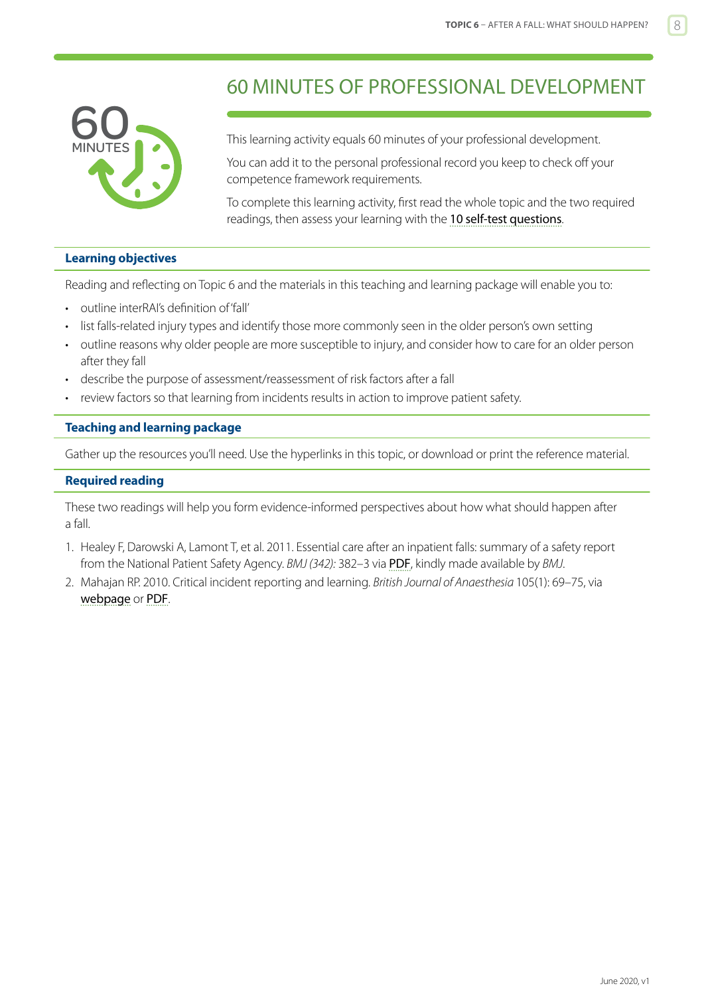<span id="page-7-0"></span>

## 60 MINUTES OF PROFESSIONAL DEVELOPMENT

This learning activity equals 60 minutes of your professional development.

You can add it to the personal professional record you keep to check off your competence framework requirements.

To complete this learning activity, first read the whole topic and the two required readings, then assess your learning with the [10 self-test questions](#page-9-0).

#### **Learning objectives**

Reading and reflecting on Topic 6 and the materials in this teaching and learning package will enable you to:

- outline interRAI's definition of 'fall'
- list falls-related injury types and identify those more commonly seen in the older person's own setting
- outline reasons why older people are more susceptible to injury, and consider how to care for an older person after they fall
- describe the purpose of assessment/reassessment of risk factors after a fall
- review factors so that learning from incidents results in action to improve patient safety.

#### **Teaching and learning package**

Gather up the resources you'll need. Use the hyperlinks in this topic, or download or print the reference material.

#### **Required reading**

These two readings will help you form evidence-informed perspectives about how what should happen after a fall.

- 1. Healey F, Darowski A, Lamont T, et al. 2011. Essential care after an inpatient falls: summary of a safety report from the National Patient Safety Agency. *BMJ (342):* 382–3 via [PDF](http://www.hqsc.govt.nz/assets/Falls/10-Topics/Essential-care-after-an-inpatient-fall.pdf), kindly made available by *BMJ*.
- 2. Mahajan RP. 2010. Critical incident reporting and learning. *British Journal of Anaesthesia* 105(1): 69–75, via [webpage](http://bja.oxfordjournals.org/content/105/1/69.full) or [PDF](http://bja.oxfordjournals.org/content/105/1/69.full.pdf+html).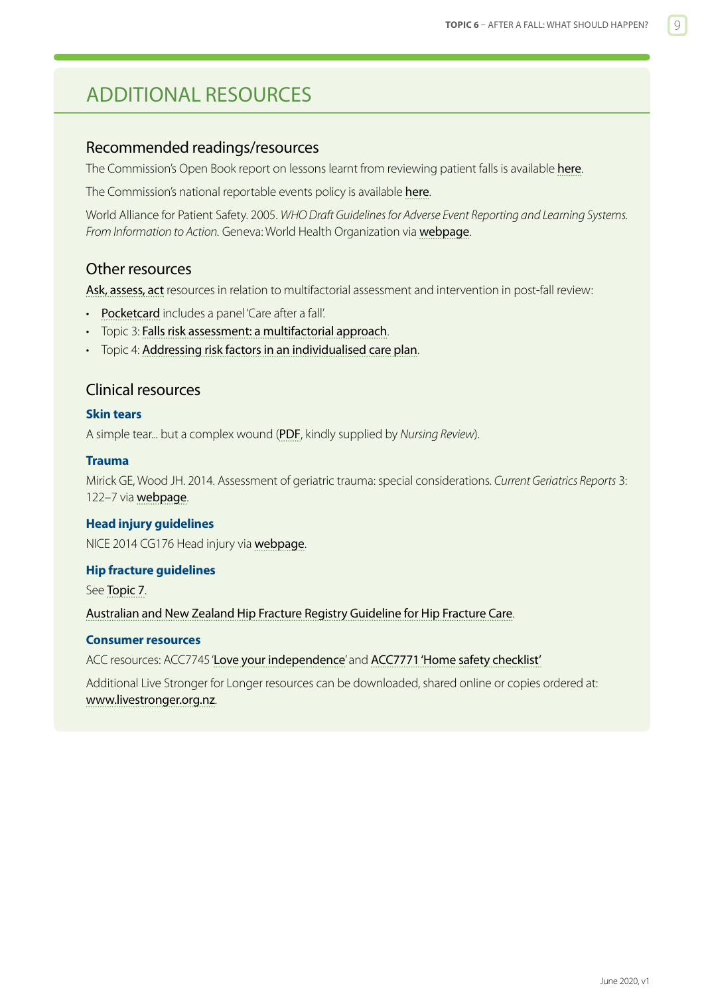## <span id="page-8-0"></span>ADDITIONAL RESOURCES

#### Recommended readings/resources

The Commission's Open Book report on lessons learnt from reviewing patient falls is available [here](http://www.hqsc.govt.nz/our-programmes/adverse-events/publications-and-resources/publication/2858/).

The Commission's national reportable events policy is available [here](http://www.hqsc.govt.nz/our-programmes/reportable-events/national-reportable-events-policy/).

World Alliance for Patient Safety. 2005. *WHO Draft Guidelines for Adverse Event Reporting and Learning Systems. From Information to Action.* Geneva: World Health Organization via [webpage](http://www.who.int/patientsafety/implementation/reporting_and_learning/en/).

#### Other resources

[Ask, assess, act](http://www.hqsc.govt.nz/our-programmes/reducing-harm-from-falls/projects/ask-assess-act/) resources in relation to multifactorial assessment and intervention in post-fall review:

- [Pocketcard](http://www.hqsc.govt.nz/our-programmes/reducing-harm-from-falls/publications-and-resources/publication/1025/) includes a panel 'Care after a fall'.
- Topic 3: [Falls risk assessment: a multifactorial approach](https://www.hqsc.govt.nz/our-programmes/reducing-harm-from-falls/publications-and-resources/publication/2874).
- Topic 4: [Addressing risk factors in an individualised care plan](https://www.hqsc.govt.nz/our-programmes/reducing-harm-from-falls/publications-and-resources/publication/2891).

#### Clinical resources

#### **Skin tears**

A simple tear... but a complex wound ([PDF](http://www.hqsc.govt.nz/our-programmes/reducing-harm-from-falls/publications-and-resources/publication/1440/), kindly supplied by *Nursing Review*).

#### **Trauma**

Mirick GE, Wood JH. 2014. Assessment of geriatric trauma: special considerations. *Current Geriatrics Reports* 3: 122–7 via [webpage](http://link.springer.com/article/10.1007/s13670-014-0084-7/fulltext.html).

#### **Head injury guidelines**

NICE 2014 CG176 Head injury via [webpage](https://www.nice.org.uk/guidance/cg176).

#### **Hip fracture guidelines**

See [Topic 7](https://www.hqsc.govt.nz/our-programmes/reducing-harm-from-falls/publications-and-resources/publication/2878).

[Australian and New Zealand Hip Fracture Registry Guideline for Hip Fracture Care](http://anzhfr.org/guidelines-and-standards/).

#### **Consumer resources**

ACC resources: ACC7745 '[Love your independence](https://www.acc.co.nz/assets/injury-prevention/acc7745-love-your-independence.pdf)' and [ACC7771 'Home safety checklist'](https://www.acc.co.nz/assets/injury-prevention/acc7771-home-safety-checklist.pdf)

Additional Live Stronger for Longer resources can be downloaded, shared online or copies ordered at: <www.livestronger.org.nz>.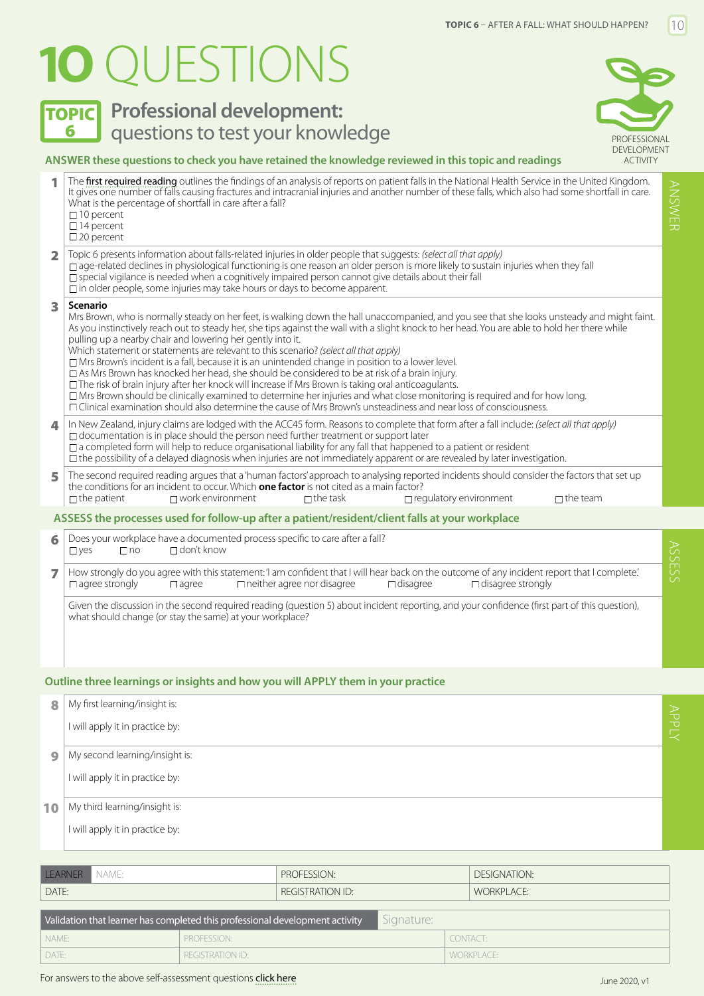# <span id="page-9-0"></span>**1O** QUESTIONS

**TOPIC** Professional development:



#### **ANSWER these questions to check you have retained the knowledge reviewed in this topic and readings**

|                         | The first required reading outlines the findings of an analysis of reports on patient falls in the National Health Service in the United Kingdom.<br>ANSWER<br>It gives one number of falls causing fractures and intracranial injuries and another number of these falls, which also had some shortfall in care.<br>What is the percentage of shortfall in care after a fall?<br>$\Box$ 10 percent<br>$\Box$ 14 percent<br>$\square$ 20 percent                                                                                                                                                                                                                                                                                                                                                                                                                                                                                                                                                                                                   |       |  |  |
|-------------------------|----------------------------------------------------------------------------------------------------------------------------------------------------------------------------------------------------------------------------------------------------------------------------------------------------------------------------------------------------------------------------------------------------------------------------------------------------------------------------------------------------------------------------------------------------------------------------------------------------------------------------------------------------------------------------------------------------------------------------------------------------------------------------------------------------------------------------------------------------------------------------------------------------------------------------------------------------------------------------------------------------------------------------------------------------|-------|--|--|
| $\overline{\mathbf{2}}$ | Topic 6 presents information about falls-related injuries in older people that suggests: (select all that apply)<br>□ age-related declines in physiological functioning is one reason an older person is more likely to sustain injuries when they fall<br>$\Box$ special vigilance is needed when a cognitively impaired person cannot give details about their fall<br>$\square$ in older people, some injuries may take hours or days to become apparent.                                                                                                                                                                                                                                                                                                                                                                                                                                                                                                                                                                                       |       |  |  |
| 3                       | Scenario<br>Mrs Brown, who is normally steady on her feet, is walking down the hall unaccompanied, and you see that she looks unsteady and might faint.<br>As you instinctively reach out to steady her, she tips against the wall with a slight knock to her head. You are able to hold her there while<br>pulling up a nearby chair and lowering her gently into it.<br>Which statement or statements are relevant to this scenario? (select all that apply)<br>$\Box$ Mrs Brown's incident is a fall, because it is an unintended change in position to a lower level.<br>$\Box$ As Mrs Brown has knocked her head, she should be considered to be at risk of a brain injury.<br>□ The risk of brain injury after her knock will increase if Mrs Brown is taking oral anticoagulants.<br>$\Box$ Mrs Brown should be clinically examined to determine her injuries and what close monitoring is required and for how long.<br>□ Clinical examination should also determine the cause of Mrs Brown's unsteadiness and near loss of consciousness. |       |  |  |
| 4                       | In New Zealand, injury claims are lodged with the ACC45 form. Reasons to complete that form after a fall include: (select all that apply)<br>$\Box$ documentation is in place should the person need further treatment or support later<br>$\Box$ a completed form will help to reduce organisational liability for any fall that happened to a patient or resident<br>$\Box$ the possibility of a delayed diagnosis when injuries are not immediately apparent or are revealed by later investigation.                                                                                                                                                                                                                                                                                                                                                                                                                                                                                                                                            |       |  |  |
| 5                       | The second required reading argues that a 'human factors' approach to analysing reported incidents should consider the factors that set up<br>the conditions for an incident to occur. Which <b>one factor</b> is not cited as a main factor?<br>$\Box$ work environment<br>$\Box$ the team<br>$\Box$ the patient<br>$\Box$ the task<br>$\Box$ regulatory environment                                                                                                                                                                                                                                                                                                                                                                                                                                                                                                                                                                                                                                                                              |       |  |  |
|                         | ASSESS the processes used for follow-up after a patient/resident/client falls at your workplace                                                                                                                                                                                                                                                                                                                                                                                                                                                                                                                                                                                                                                                                                                                                                                                                                                                                                                                                                    |       |  |  |
| 6                       | Does your workplace have a documented process specific to care after a fall?<br>$\Box$ don't know<br>$\Box$ yes<br>$\Box$ no                                                                                                                                                                                                                                                                                                                                                                                                                                                                                                                                                                                                                                                                                                                                                                                                                                                                                                                       | SSESS |  |  |
| $\overline{ }$          | How strongly do you agree with this statement: 'I am confident that I will hear back on the outcome of any incident report that I complete.'<br>$\Box$ agree strongly<br>$\Box$ neither agree nor disagree<br>$\Box$ disagree strongly<br>$\Box$ agree<br>$\Box$ disagree                                                                                                                                                                                                                                                                                                                                                                                                                                                                                                                                                                                                                                                                                                                                                                          |       |  |  |
|                         | Given the discussion in the second required reading (question 5) about incident reporting, and your confidence (first part of this question),<br>what should change (or stay the same) at your workplace?                                                                                                                                                                                                                                                                                                                                                                                                                                                                                                                                                                                                                                                                                                                                                                                                                                          |       |  |  |

#### **Outline three learnings or insights and how you will APPLY them in your practice**

| 8  | My first learning/insight is:   |
|----|---------------------------------|
|    | I will apply it in practice by: |
| 9  | My second learning/insight is:  |
|    | I will apply it in practice by: |
| 10 | My third learning/insight is:   |
|    | I will apply it in practice by: |

| <b>TEARNER</b><br>NAME: | PROFESSION:             | <b>DESIGNATION:</b> |
|-------------------------|-------------------------|---------------------|
| DATE:                   | <b>REGISTRATION ID:</b> | <b>WORKPLACE:</b>   |
|                         |                         |                     |

| Validation that learner has completed this professional development activity |                  | Signature: |            |
|------------------------------------------------------------------------------|------------------|------------|------------|
| I NAME:                                                                      | PROFESSION:      |            | I CONTACT: |
| I DATE:                                                                      | REGISTRATION ID: |            | WORKPLACE: |

APPLY